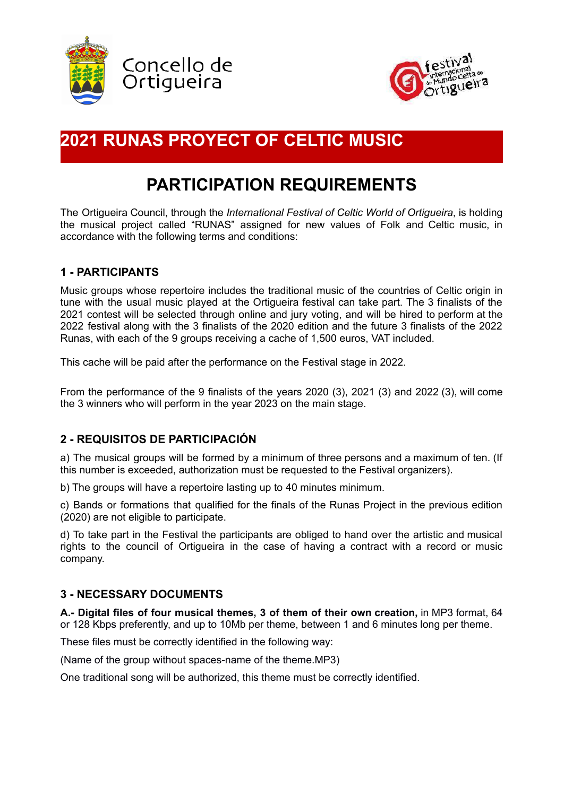



# **2021 RUNAS PROYECT OF CELTIC MUSIC**

# **PARTICIPATION REQUIREMENTS**

The Ortigueira Council, through the *International Festival of Celtic World of Ortigueira*, is holding the musical project called "RUNAS" assigned for new values of Folk and Celtic music, in accordance with the following terms and conditions:

## **1 - PARTICIPANTS**

Music groups whose repertoire includes the traditional music of the countries of Celtic origin in tune with the usual music played at the Ortigueira festival can take part. The 3 finalists of the 2021 contest will be selected through online and jury voting, and will be hired to perform at the 2022 festival along with the 3 finalists of the 2020 edition and the future 3 finalists of the 2022 Runas, with each of the 9 groups receiving a cache of 1,500 euros, VAT included.

This cache will be paid after the performance on the Festival stage in 2022.

From the performance of the 9 finalists of the years 2020 (3), 2021 (3) and 2022 (3), will come the 3 winners who will perform in the year 2023 on the main stage.

## **2 - REQUISITOS DE PARTICIPACIÓN**

a) The musical groups will be formed by a minimum of three persons and a maximum of ten. (If this number is exceeded, authorization must be requested to the Festival organizers).

b) The groups will have a repertoire lasting up to 40 minutes minimum.

c) Bands or formations that qualified for the finals of the Runas Project in the previous edition (2020) are not eligible to participate.

d) To take part in the Festival the participants are obliged to hand over the artistic and musical rights to the council of Ortigueira in the case of having a contract with a record or music company.

## **3 - NECESSARY DOCUMENTS**

**A.- Digital files of four musical themes, 3 of them of their own creation,** in MP3 format, 64 or 128 Kbps preferently, and up to 10Mb per theme, between 1 and 6 minutes long per theme.

These files must be correctly identified in the following way:

(Name of the group without spaces-name of the theme.MP3)

One traditional song will be authorized, this theme must be correctly identified.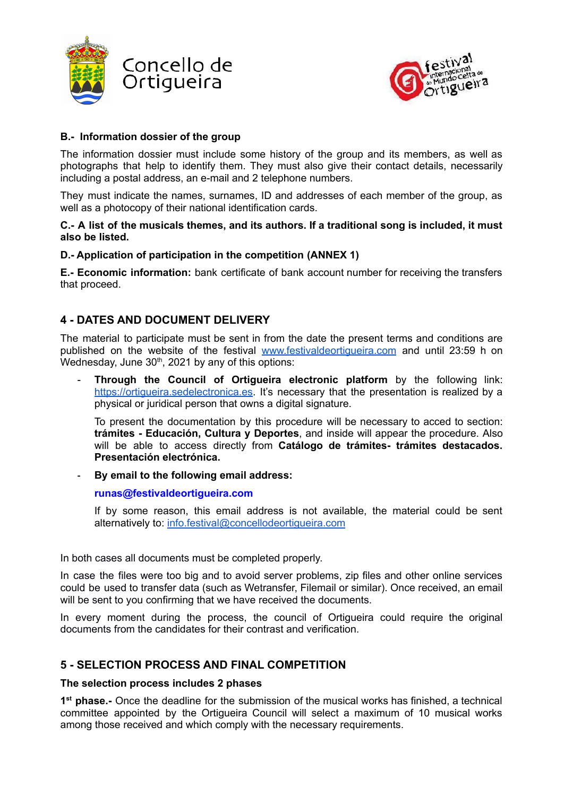



#### **B.- Information dossier of the group**

The information dossier must include some history of the group and its members, as well as photographs that help to identify them. They must also give their contact details, necessarily including a postal address, an e-mail and 2 telephone numbers.

They must indicate the names, surnames, ID and addresses of each member of the group, as well as a photocopy of their national identification cards.

#### **C.- A list of the musicals themes, and its authors. If a traditional song is included, it must also be listed.**

#### **D.- Application of participation in the competition (ANNEX 1)**

**E.- Economic information:** bank certificate of bank account number for receiving the transfers that proceed.

## **4 - DATES AND DOCUMENT DELIVERY**

The material to participate must be sent in from the date the present terms and conditions are published on the website of the festival [www.festivaldeortigueira.com](http://www.festivaldeortigueira.com) and until 23:59 h on Wednesday, June  $30<sup>th</sup>$ , 2021 by any of this options:

- **Through the Council of Ortigueira electronic platform** by the following link: <https://ortigueira.sedelectronica.es>. It's necessary that the presentation is realized by a physical or juridical person that owns a digital signature.

To present the documentation by this procedure will be necessary to acced to section: **trámites - Educación, Cultura y Deportes**, and inside will appear the procedure. Also will be able to access directly from **Catálogo de trámites- trámites destacados. Presentación electrónica.**

**- By email to the following email address:**

#### **[runas@festivaldeortigueira.com](mailto:runas.festival@concellodeortigueira.com)**

If by some reason, this email address is not available, the material could be sent alternatively to: [info.festival@concellodeortigueira.com](mailto:info.festival@concellodeortigueira.com)

In both cases all documents must be completed properly.

In case the files were too big and to avoid server problems, zip files and other online services could be used to transfer data (such as Wetransfer, Filemail or similar). Once received, an email will be sent to you confirming that we have received the documents.

In every moment during the process, the council of Ortigueira could require the original documents from the candidates for their contrast and verification.

## **5 - SELECTION PROCESS AND FINAL COMPETITION**

#### **The selection process includes 2 phases**

**1 st phase.-** Once the deadline for the submission of the musical works has finished, a technical committee appointed by the Ortigueira Council will select a maximum of 10 musical works among those received and which comply with the necessary requirements.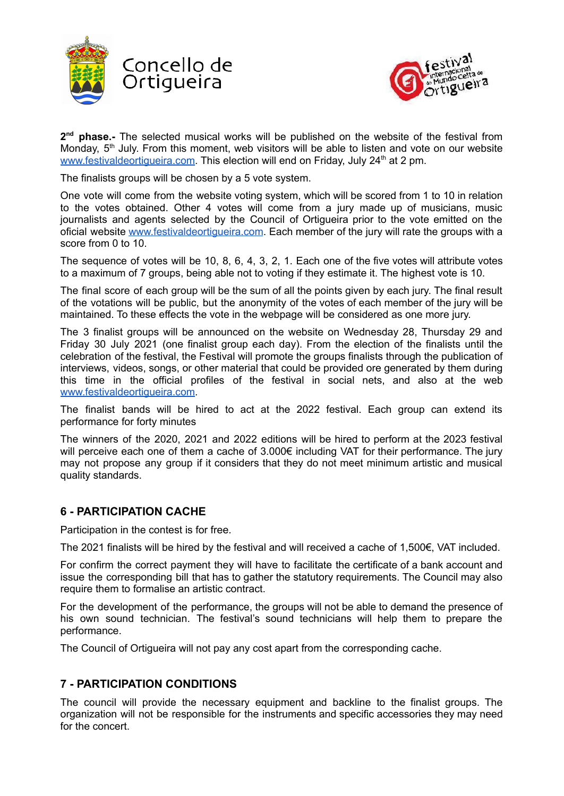



2<sup>nd</sup> phase.- The selected musical works will be published on the website of the festival from Monday, 5<sup>th</sup> July. From this moment, web visitors will be able to listen and vote on our website [www.festivaldeortigueira.com](http://www.festivaldeortigueira.com). This election will end on Friday, July 24<sup>th</sup> at 2 pm.

The finalists groups will be chosen by a 5 vote system.

One vote will come from the website voting system, which will be scored from 1 to 10 in relation to the votes obtained. Other 4 votes will come from a jury made up of musicians, music journalists and agents selected by the Council of Ortigueira prior to the vote emitted on the oficial website www.festivaldeortiqueira.com. Each member of the jury will rate the groups with a score from 0 to 10.

The sequence of votes will be 10, 8, 6, 4, 3, 2, 1. Each one of the five votes will attribute votes to a maximum of 7 groups, being able not to voting if they estimate it. The highest vote is 10.

The final score of each group will be the sum of all the points given by each jury. The final result of the votations will be public, but the anonymity of the votes of each member of the jury will be maintained. To these effects the vote in the webpage will be considered as one more jury.

The 3 finalist groups will be announced on the website on Wednesday 28, Thursday 29 and Friday 30 July 2021 (one finalist group each day). From the election of the finalists until the celebration of the festival, the Festival will promote the groups finalists through the publication of interviews, videos, songs, or other material that could be provided ore generated by them during this time in the official profiles of the festival in social nets, and also at the web [www.festivaldeortigueira.com](http://www.festivaldeortigueira.com).

The finalist bands will be hired to act at the 2022 festival. Each group can extend its performance for forty minutes

The winners of the 2020, 2021 and 2022 editions will be hired to perform at the 2023 festival will perceive each one of them a cache of 3.000€ including VAT for their performance. The jury may not propose any group if it considers that they do not meet minimum artistic and musical quality standards.

## **6 - PARTICIPATION CACHE**

Participation in the contest is for free.

The 2021 finalists will be hired by the festival and will received a cache of 1,500€, VAT included.

For confirm the correct payment they will have to facilitate the certificate of a bank account and issue the corresponding bill that has to gather the statutory requirements. The Council may also require them to formalise an artistic contract.

For the development of the performance, the groups will not be able to demand the presence of his own sound technician. The festival's sound technicians will help them to prepare the performance.

The Council of Ortigueira will not pay any cost apart from the corresponding cache.

## **7 - PARTICIPATION CONDITIONS**

The council will provide the necessary equipment and backline to the finalist groups. The organization will not be responsible for the instruments and specific accessories they may need for the concert.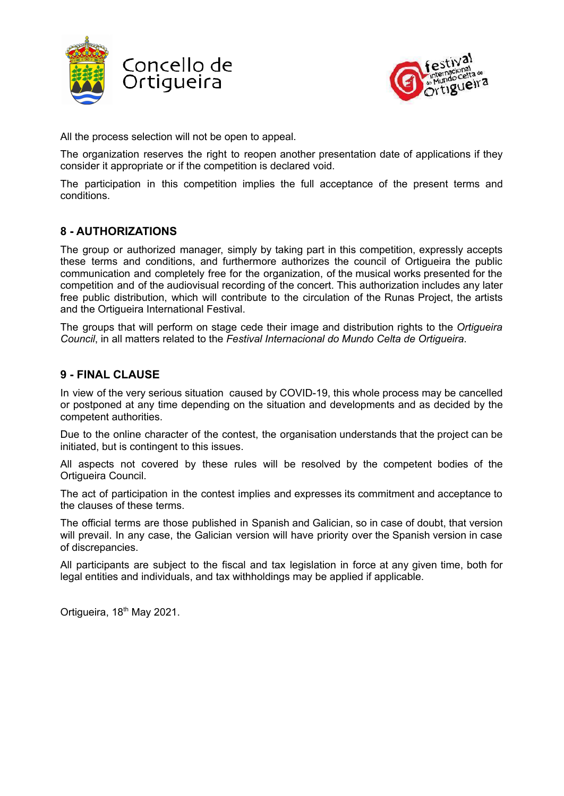



All the process selection will not be open to appeal.

The organization reserves the right to reopen another presentation date of applications if they consider it appropriate or if the competition is declared void.

The participation in this competition implies the full acceptance of the present terms and conditions.

# **8 - AUTHORIZATIONS**

The group or authorized manager, simply by taking part in this competition, expressly accepts these terms and conditions, and furthermore authorizes the council of Ortigueira the public communication and completely free for the organization, of the musical works presented for the competition and of the audiovisual recording of the concert. This authorization includes any later free public distribution, which will contribute to the circulation of the Runas Project, the artists and the Ortigueira International Festival.

The groups that will perform on stage cede their image and distribution rights to the *Ortigueira Council*, in all matters related to the *Festival Internacional do Mundo Celta de Ortigueira*.

## **9 - FINAL CLAUSE**

In view of the very serious situation caused by COVID-19, this whole process may be cancelled or postponed at any time depending on the situation and developments and as decided by the competent authorities.

Due to the online character of the contest, the organisation understands that the project can be initiated, but is contingent to this issues.

All aspects not covered by these rules will be resolved by the competent bodies of the Ortigueira Council.

The act of participation in the contest implies and expresses its commitment and acceptance to the clauses of these terms.

The official terms are those published in Spanish and Galician, so in case of doubt, that version will prevail. In any case, the Galician version will have priority over the Spanish version in case of discrepancies.

All participants are subject to the fiscal and tax legislation in force at any given time, both for legal entities and individuals, and tax withholdings may be applied if applicable.

Ortigueira, 18<sup>th</sup> May 2021.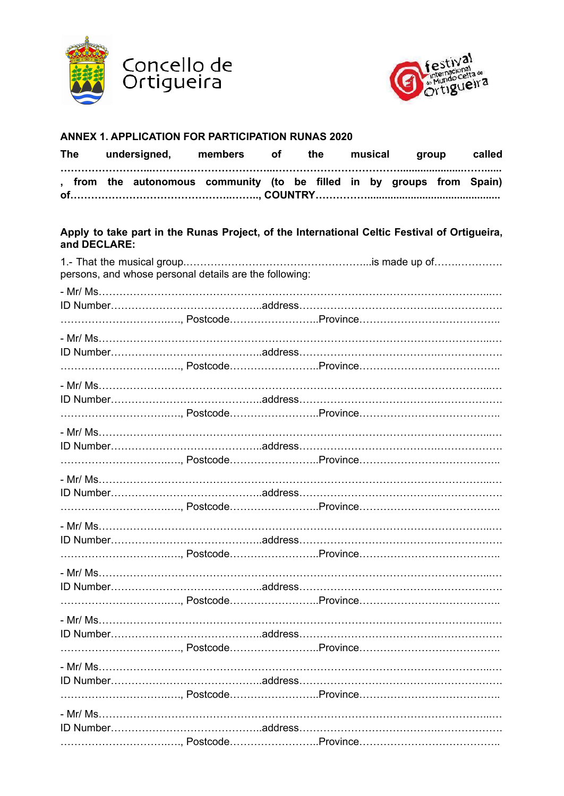



#### **ANNEX 1. APPLICATION FOR PARTICIPATION RUNAS 2020**

| <b>The</b> | undersigned, | members of                                                             |  | the |  | musical group |  |  |  |  |
|------------|--------------|------------------------------------------------------------------------|--|-----|--|---------------|--|--|--|--|
|            |              | , from the autonomous community (to be filled in by groups from Spain) |  |     |  |               |  |  |  |  |

#### **Apply to take part in the Runas Project, of the International Celtic Festival of Ortigueira, and DECLARE:**

| persons, and whose personal details are the following: |  |                    |
|--------------------------------------------------------|--|--------------------|
|                                                        |  |                    |
|                                                        |  |                    |
|                                                        |  | , PostcodeProvince |
|                                                        |  |                    |
|                                                        |  |                    |
|                                                        |  | , PostcodeProvince |
|                                                        |  |                    |
|                                                        |  |                    |
|                                                        |  |                    |
|                                                        |  | , PostcodeProvince |
|                                                        |  |                    |
|                                                        |  |                    |
|                                                        |  | , PostcodeProvince |
|                                                        |  |                    |
|                                                        |  |                    |
|                                                        |  | , PostcodeProvince |
|                                                        |  |                    |
|                                                        |  |                    |
|                                                        |  | , PostcodeProvince |
|                                                        |  |                    |
|                                                        |  |                    |
|                                                        |  |                    |
|                                                        |  | , PostcodeProvince |
|                                                        |  |                    |
|                                                        |  |                    |
|                                                        |  | , PostcodeProvince |
|                                                        |  |                    |
|                                                        |  |                    |
|                                                        |  | , PostcodeProvince |
|                                                        |  |                    |
|                                                        |  |                    |
|                                                        |  | , PostcodeProvince |
|                                                        |  |                    |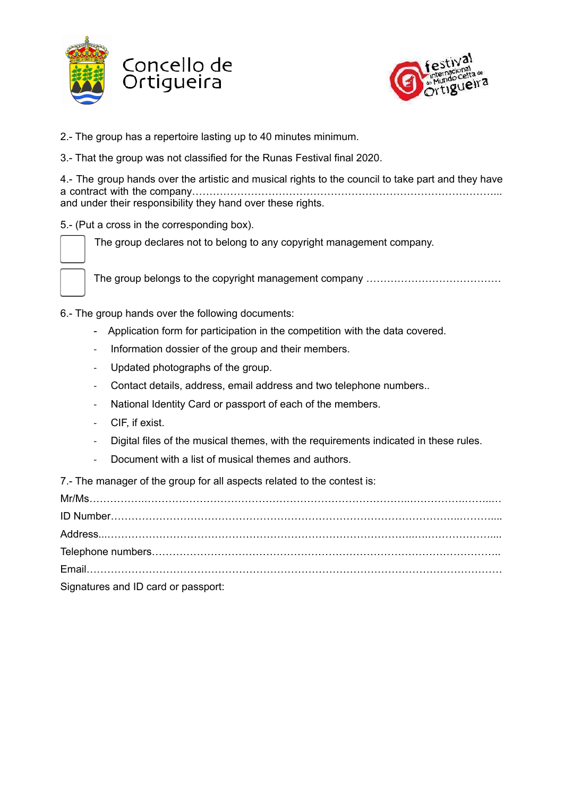



- 2.- The group has a repertoire lasting up to 40 minutes minimum.
- 3.- That the group was not classified for the Runas Festival final 2020.

4.- The group hands over the artistic and musical rights to the council to take part and they have a contract with the company……………………………………………………………………………... and under their responsibility they hand over these rights.

5.- (Put a cross in the corresponding box).

The group declares not to belong to any copyright management company.



The group belongs to the copyright management company …………………………………

6.- The group hands over the following documents:

- Application form for participation in the competition with the data covered.
- Information dossier of the group and their members.
- Updated photographs of the group.
- Contact details, address, email address and two telephone numbers..
- National Identity Card or passport of each of the members.
- CIF, if exist.
- Digital files of the musical themes, with the requirements indicated in these rules.
- Document with a list of musical themes and authors.

7.- The manager of the group for all aspects related to the contest is:

Mr/Ms…………….…………………………………………………………………..…………….……..… ID Number………………………………………………………………………………………..……….... Address...……………………………………………………………………………..….……………….... Telephone numbers……………………………………………………………………………………….. Email………………………………………………………………………………………………………… Signatures and ID card or passport: